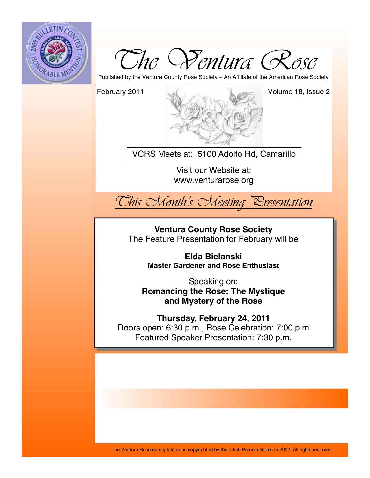



Published by the Ventura County Rose Society – An Affiliate of the American Rose Society



VCRS Meets at: 5100 Adolfo Rd, Camarillo

Visit our Website at: www.venturarose.org



**Ventura County Rose Society**  The Feature Presentation for February will be

> **Elda Bielanski Master Gardener and Rose Enthusiast**

Speaking on: **Romancing the Rose: The Mystique and Mystery of the Rose**

**Thursday, February 24, 2011**  Doors open: 6:30 p.m., Rose Celebration: 7:00 p.m Featured Speaker Presentation: 7:30 p.m.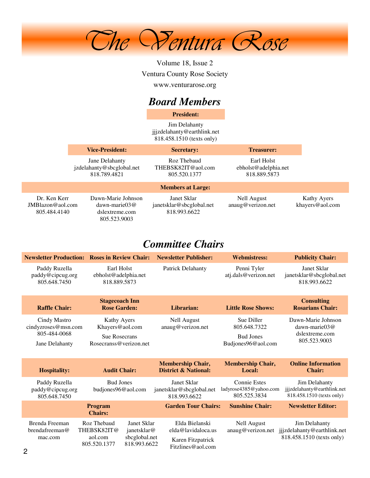

Volume 18, Issue 2 Ventura County Rose Society www.venturarose.org

# *Board Members*

**President:**

Jim Delahanty jjjzdelahanty@earthlink.net 818.458.1510 (texts only)

|                                                     | <b>Vice-President:</b>                                                         |                                                         | <b>Secretary:</b><br><b>Treasurer:</b>             |                                |
|-----------------------------------------------------|--------------------------------------------------------------------------------|---------------------------------------------------------|----------------------------------------------------|--------------------------------|
|                                                     | Jane Delahanty<br>jzdelahanty@sbcglobal.net<br>818.789.4821                    | Roz Thebaud<br>THEBSK82IT@aol.com<br>805.520.1377       | Earl Holst<br>ebholst@adelphia.net<br>818.889.5873 |                                |
|                                                     |                                                                                | <b>Members at Large:</b>                                |                                                    |                                |
| Dr. Ken Kerr<br>$JMB$ lazon@aol.com<br>805.484.4140 | Dawn-Marie Johnson<br>$dawn\text{-}marie03@$<br>dslextreme.com<br>805.523.9003 | Janet Sklar<br>janetsklar@sbcglobal.net<br>818.993.6622 | Nell August<br>anaug@verizon.net                   | Kathy Ayers<br>khayers@aol.com |

# *Committee Chairs*

|                                                                       | <b>Newsletter Production: Roses in Review Chair:</b>                                                                 | <b>Newsletter Publisher:</b>                                                   | <b>Webmistress:</b>                                                  | <b>Publicity Chair:</b>                                                   |
|-----------------------------------------------------------------------|----------------------------------------------------------------------------------------------------------------------|--------------------------------------------------------------------------------|----------------------------------------------------------------------|---------------------------------------------------------------------------|
| Paddy Ruzella<br>paddy@cipcug.org<br>805.648.7450                     | Earl Holst<br>ebholst@adelphia.net<br>818.889.5873                                                                   | <b>Patrick Delahanty</b>                                                       | Penni Tyler<br>atj.dals@verizon.net                                  | Janet Sklar<br>janetsklar@sbcglobal.net<br>818.993.6622                   |
| <b>Raffle Chair:</b>                                                  | <b>Stagecoach Inn</b><br><b>Rose Garden:</b>                                                                         | Librarian:                                                                     | <b>Little Rose Shows:</b>                                            | <b>Consulting</b><br><b>Rosarians Chair:</b>                              |
| Cindy Mastro<br>cindyzroses@msn.com<br>805-484-0068<br>Jane Delahanty | Kathy Ayers<br>Khayers@aol.com<br><b>Sue Rosecrans</b><br>Rosecranss@verizon.net                                     | <b>Nell August</b><br>anaug@verizon.net                                        | Sue Diller<br>805.648.7322<br><b>Bud Jones</b><br>Budjones96@aol.com | Dawn-Marie Johnson<br>dawn-marie $03@$<br>dslextreme.com<br>805.523.9003  |
| <b>Hospitality:</b>                                                   | <b>Audit Chair:</b>                                                                                                  | <b>Membership Chair,</b><br><b>District &amp; National:</b>                    | <b>Membership Chair,</b><br>Local:                                   | <b>Online Information</b><br><b>Chair:</b>                                |
| Paddy Ruzella<br>paddy@cipcug.org<br>805.648.7450                     | <b>Bud Jones</b><br>budjones96@aol.com                                                                               | Janet Sklar<br>janetsklar@sbcglobal.net<br>818.993.6622                        | <b>Connie Estes</b><br>ladyrose4385@yahoo.com<br>805.525.3834        | Jim Delahanty<br>jjjzdelahanty@earthlink.net<br>818.458.1510 (texts only) |
|                                                                       | Program<br><b>Chairs:</b>                                                                                            | <b>Garden Tour Chairs:</b>                                                     | <b>Sunshine Chair:</b>                                               | <b>Newsletter Editor:</b>                                                 |
| Brenda Freeman<br>brendafreeman@<br>mac.com                           | Roz Thebaud<br>Janet Sklar<br>THEBSK82IT@<br>janetsklar@<br>sbcglobal.net<br>aol.com<br>818.993.6622<br>805.520.1377 | Elda Bielanski<br>elda@lavidaloca.us<br>Karen Fitzpatrick<br>Fitzlines@aol.com | <b>Nell August</b><br>anaug@verizon.net                              | Jim Delahanty<br>jjjzdelahanty@earthlink.net<br>818.458.1510 (texts only) |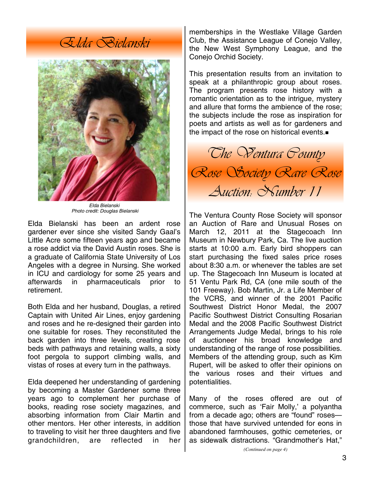*Elda Bielanski* 



*Elda Bielanski Photo credit: Douglas Bielanski* 

Elda Bielanski has been an ardent rose gardener ever since she visited Sandy Gaal's Little Acre some fifteen years ago and became a rose addict via the David Austin roses. She is a graduate of California State University of Los Angeles with a degree in Nursing. She worked in ICU and cardiology for some 25 years and afterwards in pharmaceuticals prior to retirement.

Both Elda and her husband, Douglas, a retired Captain with United Air Lines, enjoy gardening and roses and he re-designed their garden into one suitable for roses. They reconstituted the back garden into three levels, creating rose beds with pathways and retaining walls, a sixty foot pergola to support climbing walls, and vistas of roses at every turn in the pathways.

Elda deepened her understanding of gardening by becoming a Master Gardener some three years ago to complement her purchase of books, reading rose society magazines, and absorbing information from Clair Martin and other mentors. Her other interests, in addition to traveling to visit her three daughters and five grandchildren, are reflected in her memberships in the Westlake Village Garden Club, the Assistance League of Conejo Valley, the New West Symphony League, and the Conejo Orchid Society.

This presentation results from an invitation to speak at a philanthropic group about roses. The program presents rose history with a romantic orientation as to the intrigue, mystery and allure that forms the ambience of the rose; the subjects include the rose as inspiration for poets and artists as well as for gardeners and the impact of the rose on historical events.



The Ventura County Rose Society will sponsor an Auction of Rare and Unusual Roses on March 12, 2011 at the Stagecoach Inn Museum in Newbury Park, Ca. The live auction starts at 10:00 a.m. Early bird shoppers can start purchasing the fixed sales price roses about 8:30 a.m. or whenever the tables are set up. The Stagecoach Inn Museum is located at 51 Ventu Park Rd, CA (one mile south of the 101 Freeway). Bob Martin, Jr. a Life Member of the VCRS, and winner of the 2001 Pacific Southwest District Honor Medal, the 2007 Pacific Southwest District Consulting Rosarian Medal and the 2008 Pacific Southwest District Arrangements Judge Medal, brings to his role of auctioneer his broad knowledge and understanding of the range of rose possibilities. Members of the attending group, such as Kim Rupert, will be asked to offer their opinions on the various roses and their virtues and potentialities.

Many of the roses offered are out of commerce, such as 'Fair Molly,' a polyantha from a decade ago; others are "found" roses those that have survived untended for eons in abandoned farmhouses, gothic cemeteries, or as sidewalk distractions. "Grandmother's Hat,"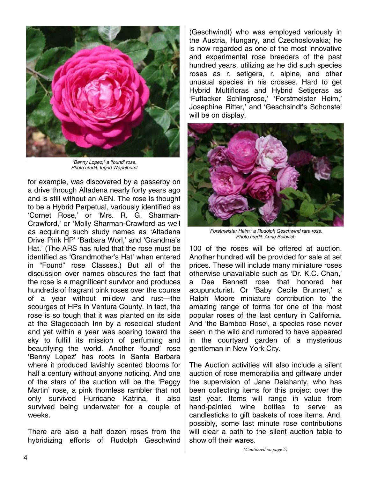

*"Benny Lopez," a 'found' rose. Photo credit: Ingrid Wapelhorst* 

for example, was discovered by a passerby on a drive through Altadena nearly forty years ago and is still without an AEN. The rose is thought to be a Hybrid Perpetual, variously identified as 'Cornet Rose,' or 'Mrs. R. G. Sharman-Crawford,' or 'Molly Sharman-Crawford as well as acquiring such study names as 'Altadena Drive Pink HP' 'Barbara Worl,' and 'Grandma's Hat.' (The ARS has ruled that the rose must be identified as 'Grandmother's Hat' when entered in "Found" rose Classes.) But all of the discussion over names obscures the fact that the rose is a magnificent survivor and produces hundreds of fragrant pink roses over the course of a year without mildew and rust—the scourges of HPs in Ventura County. In fact, the rose is so tough that it was planted on its side at the Stagecoach Inn by a rosecidal student and yet within a year was soaring toward the sky to fulfill its mission of perfuming and beautifying the world. Another 'found' rose 'Benny Lopez' has roots in Santa Barbara where it produced lavishly scented blooms for half a century without anyone noticing. And one of the stars of the auction will be the 'Peggy Martin' rose, a pink thornless rambler that not only survived Hurricane Katrina, it also survived being underwater for a couple of weeks.

There are also a half dozen roses from the hybridizing efforts of Rudolph Geschwind

(Geschwindt) who was employed variously in the Austria, Hungary, and Czechoslovakia; he is now regarded as one of the most innovative and experimental rose breeders of the past hundred years, utilizing as he did such species roses as r. setigera, r. alpine, and other unusual species in his crosses. Hard to get Hybrid Multifloras and Hybrid Setigeras as 'Futtacker Schlingrose,' 'Forstmeister Heim,' Josephine Ritter,' and 'Geschsindt's Schonste' will be on display.



*'Forstmeister Heim,' a Rudolph Geschwind rare rose. Photo credit: Anne Belovich* 

100 of the roses will be offered at auction. Another hundred will be provided for sale at set prices. These will include many miniature roses otherwise unavailable such as 'Dr. K.C. Chan,' a Dee Bennett rose that honored her acupuncturist. Or 'Baby Cecile Brunner,' a Ralph Moore miniature contribution to the amazing range of forms for one of the most popular roses of the last century in California. And 'the Bamboo Rose', a species rose never seen in the wild and rumored to have appeared in the courtyard garden of a mysterious gentleman in New York City.

The Auction activities will also include a silent auction of rose memorabilia and giftware under the supervision of Jane Delahanty, who has been collecting items for this project over the last year. Items will range in value from hand-painted wine bottles to serve as candlesticks to gift baskets of rose items. And, possibly, some last minute rose contributions will clear a path to the silent auction table to show off their wares.

*(Continued on page 5)*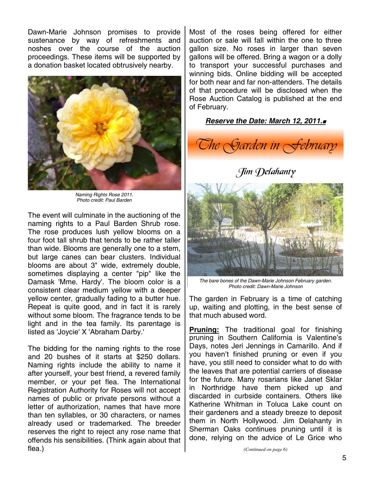Dawn-Marie Johnson promises to provide sustenance by way of refreshments and noshes over the course of the auction proceedings. These items will be supported by a donation basket located obtrusively nearby.



*Naming Rights Rose 2011. Photo credit: Paul Barden* 

The event will culminate in the auctioning of the naming rights to a Paul Barden Shrub rose. The rose produces lush yellow blooms on a four foot tall shrub that tends to be rather taller than wide. Blooms are generally one to a stem, but large canes can bear clusters. Individual blooms are about 3" wide, extremely double, sometimes displaying a center "pip" like the Damask 'Mme. Hardy'. The bloom color is a consistent clear medium yellow with a deeper yellow center, gradually fading to a butter hue. Repeat is quite good, and in fact it is rarely without some bloom. The fragrance tends to be light and in the tea family. Its parentage is listed as 'Joycie' X 'Abraham Darby.'

The bidding for the naming rights to the rose and 20 bushes of it starts at \$250 dollars. Naming rights include the ability to name it after yourself, your best friend, a revered family member, or your pet flea. The International Registration Authority for Roses will not accept names of public or private persons without a letter of authorization, names that have more than ten syllables, or 30 characters, or names already used or trademarked. The breeder reserves the right to reject any rose name that offends his sensibilities. (Think again about that flea.)

Most of the roses being offered for either auction or sale will fall within the one to three gallon size. No roses in larger than seven gallons will be offered. Bring a wagon or a dolly to transport your successful purchases and winning bids. Online bidding will be accepted for both near and far non-attenders. The details of that procedure will be disclosed when the Rose Auction Catalog is published at the end of February.

### *Reserve the Date: March 12, 2011.*



## $\int$ im Delahanty



*The bare bones of the Dawn-Marie Johnson February garden. Photo credit: Dawn-Marie Johnson* 

The garden in February is a time of catching up, waiting and plotting, in the best sense of that much abused word.

**Pruning:** The traditional goal for finishing pruning in Southern California is Valentine's Days, notes Jeri Jennings in Camarillo. And if you haven't finished pruning or even if you have, you still need to consider what to do with the leaves that are potential carriers of disease for the future. Many rosarians like Janet Sklar in Northridge have them picked up and discarded in curbside containers. Others like Katherine Whitman in Toluca Lake count on their gardeners and a steady breeze to deposit them in North Hollywood. Jim Delahanty in Sherman Oaks continues pruning until it is done, relying on the advice of Le Grice who

*(Continued on page 6)*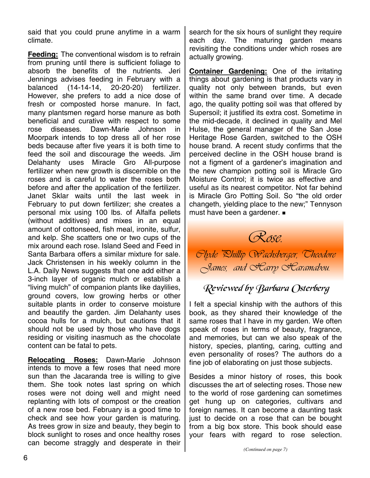said that you could prune anytime in a warm climate.

**Feeding:** The conventional wisdom is to refrain from pruning until there is sufficient foliage to absorb the benefits of the nutrients. Jeri Jennings advises feeding in February with a balanced (14-14-14, 20-20-20) fertilizer. However, she prefers to add a nice dose of fresh or composted horse manure. In fact, many plantsmen regard horse manure as both beneficial and curative with respect to some rose diseases. Dawn-Marie Johnson in Moorpark intends to top dress all of her rose beds because after five years it is both time to feed the soil and discourage the weeds. Jim Delahanty uses Miracle Gro All-purpose fertilizer when new growth is discernible on the roses and is careful to water the roses both before and after the application of the fertilizer. Janet Sklar waits until the last week in February to put down fertilizer; she creates a personal mix using 100 lbs. of Alfalfa pellets (without additives) and mixes in an equal amount of cottonseed, fish meal, ironite, sulfur, and kelp. She scatters one or two cups of the mix around each rose. Island Seed and Feed in Santa Barbara offers a similar mixture for sale. Jack Christensen in his weekly column in the L.A. Daily News suggests that one add either a 3-inch layer of organic mulch or establish a "living mulch" of companion plants like daylilies, ground covers, low growing herbs or other suitable plants in order to conserve moisture and beautify the garden. Jim Delahanty uses cocoa hulls for a mulch, but cautions that it should not be used by those who have dogs residing or visiting inasmuch as the chocolate content can be fatal to pets.

**Relocating Roses:** Dawn-Marie Johnson intends to move a few roses that need more sun than the Jacaranda tree is willing to give them. She took notes last spring on which roses were not doing well and might need replanting with lots of compost or the creation of a new rose bed. February is a good time to check and see how your garden is maturing. As trees grow in size and beauty, they begin to block sunlight to roses and once healthy roses can become straggly and desperate in their search for the six hours of sunlight they require each day. The maturing garden means revisiting the conditions under which roses are actually growing.

**Container Gardening:** One of the irritating things about gardening is that products vary in quality not only between brands, but even within the same brand over time. A decade ago, the quality potting soil was that offered by Supersoil; it justified its extra cost. Sometime in the mid-decade, it declined in quality and Mel Hulse, the general manager of the San Jose Heritage Rose Garden, switched to the OSH house brand. A recent study confirms that the perceived decline in the OSH house brand is not a figment of a gardener's imagination and the new champion potting soil is Miracle Gro Moisture Control; it is twice as effective and useful as its nearest competitor. Not far behind is Miracle Gro Potting Soil. So "the old order changeth, yielding place to the new;" Tennyson must have been a gardener.



*Clyde Phillip Wachsberger, Theodore James, and Harry Haramabou.* 

# Reviewed by Barbara Osterberg

I felt a special kinship with the authors of this book, as they shared their knowledge of the same roses that I have in my garden. We often speak of roses in terms of beauty, fragrance, and memories, but can we also speak of the history, species, planting, caring, cutting and even personality of roses? The authors do a fine job of elaborating on just those subjects.

Besides a minor history of roses, this book discusses the art of selecting roses. Those new to the world of rose gardening can sometimes get hung up on categories, cultivars and foreign names. It can become a daunting task just to decide on a rose that can be bought from a big box store. This book should ease your fears with regard to rose selection.

*(Continued on page 7)*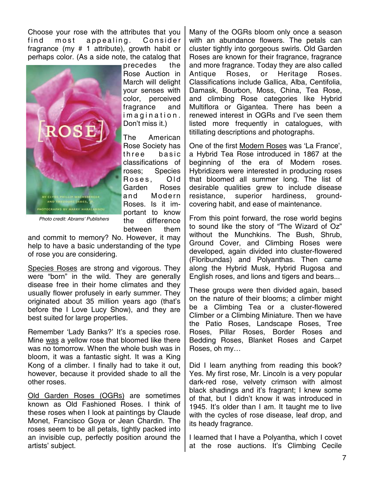Choose your rose with the attributes that you find most appealing. Consider fragrance (my # 1 attribute), growth habit or perhaps color. (As a side note, the catalog that



precedes the Rose Auction in March will delight your senses with color, perceived fragrance and i m a g i n a t i o n . Don't miss it.)

The American Rose Society has three basic classifications of roses; Species Roses, Old Garden Roses and Modern Roses. Is it important to know the difference between them

*Photo credit: Abrams' Publishers* 

and commit to memory? No. However, it may help to have a basic understanding of the type of rose you are considering.

Species Roses are strong and vigorous. They were "born" in the wild. They are generally disease free in their home climates and they usually flower profusely in early summer. They originated about 35 million years ago (that's before the I Love Lucy Show), and they are best suited for large properties.

Remember 'Lady Banks?' It's a species rose. Mine was a yellow rose that bloomed like there was no tomorrow. When the whole bush was in bloom, it was a fantastic sight. It was a King Kong of a climber. I finally had to take it out, however, because it provided shade to all the other roses.

Old Garden Roses (OGRs) are sometimes known as Old Fashioned Roses. I think of these roses when I look at paintings by Claude Monet, Francisco Goya or Jean Chardin. The roses seem to be all petals, tightly packed into an invisible cup, perfectly position around the artists' subject.

Many of the OGRs bloom only once a season with an abundance flowers. The petals can cluster tightly into gorgeous swirls. Old Garden Roses are known for their fragrance, fragrance and more fragrance. Today they are also called Antique Roses, or Heritage Roses. Classifications include Gallica, Alba, Centifolia, Damask, Bourbon, Moss, China, Tea Rose, and climbing Rose categories like Hybrid Multiflora or Gigantea. There has been a renewed interest in OGRs and I've seen them listed more frequently in catalogues, with titillating descriptions and photographs.

One of the first Modern Roses was 'La France', a Hybrid Tea Rose introduced in 1867 at the beginning of the era of Modern roses. Hybridizers were interested in producing roses that bloomed all summer long. The list of desirable qualities grew to include disease resistance, superior hardiness, groundcovering habit, and ease of maintenance.

From this point forward, the rose world begins to sound like the story of "The Wizard of Oz" without the Munchkins. The Bush, Shrub, Ground Cover, and Climbing Roses were developed, again divided into cluster-flowered (Floribundas) and Polyanthas. Then came along the Hybrid Musk, Hybrid Rugosa and English roses, and lions and tigers and bears...

These groups were then divided again, based on the nature of their blooms; a climber might be a Climbing Tea or a cluster-flowered Climber or a Climbing Miniature. Then we have the Patio Roses, Landscape Roses, Tree Roses, Pillar Roses, Border Roses and Bedding Roses, Blanket Roses and Carpet Roses, oh my…

Did I learn anything from reading this book? Yes. My first rose, Mr. Lincoln is a very popular dark-red rose, velvety crimson with almost black shadings and it's fragrant; I knew some of that, but I didn't know it was introduced in 1945. It's older than I am. It taught me to live with the cycles of rose disease, leaf drop, and its heady fragrance.

I learned that I have a Polyantha, which I covet at the rose auctions. It's Climbing Cecile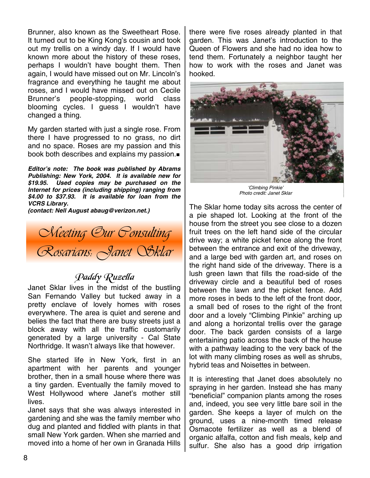Brunner, also known as the Sweetheart Rose. It turned out to be King Kong's cousin and took out my trellis on a windy day. If I would have known more about the history of these roses, perhaps I wouldn't have bought them. Then again, I would have missed out on Mr. Lincoln's fragrance and everything he taught me about roses, and I would have missed out on Cecile Brunner's people-stopping, world class blooming cycles. I guess I wouldn't have changed a thing.

My garden started with just a single rose. From there I have progressed to no grass, no dirt and no space. Roses are my passion and this book both describes and explains my passion.

*Editor's note: The book was published by Abrams Publishing: New York, 2004. It is available new for \$19.95. Used copies may be purchased on the Internet for prices (including shipping) ranging from \$4.00 to \$37.93. It is available for loan from the VCRS Library.* 

*(contact: Nell August abaug@verizon.net.)*

*Meeting Our Consulting Rosarians: Janet Sklar* 

## Paddy Ruzella

Janet Sklar lives in the midst of the bustling San Fernando Valley but tucked away in a pretty enclave of lovely homes with roses everywhere. The area is quiet and serene and belies the fact that there are busy streets just a block away with all the traffic customarily generated by a large university - Cal State Northridge. It wasn't always like that however.

She started life in New York, first in an apartment with her parents and younger brother, then in a small house where there was a tiny garden. Eventually the family moved to West Hollywood where Janet's mother still lives.

Janet says that she was always interested in gardening and she was the family member who dug and planted and fiddled with plants in that small New York garden. When she married and moved into a home of her own in Granada Hills

there were five roses already planted in that garden. This was Janet's introduction to the Queen of Flowers and she had no idea how to tend them. Fortunately a neighbor taught her how to work with the roses and Janet was hooked.



*'Climbing Pinkie' Photo credit: Janet Sklar* 

The Sklar home today sits across the center of a pie shaped lot. Looking at the front of the house from the street you see close to a dozen fruit trees on the left hand side of the circular drive way; a white picket fence along the front between the entrance and exit of the driveway, and a large bed with garden art, and roses on the right hand side of the driveway. There is a lush green lawn that fills the road-side of the driveway circle and a beautiful bed of roses between the lawn and the picket fence. Add more roses in beds to the left of the front door, a small bed of roses to the right of the front door and a lovely "Climbing Pinkie" arching up and along a horizontal trellis over the garage door. The back garden consists of a large entertaining patio across the back of the house with a pathway leading to the very back of the lot with many climbing roses as well as shrubs, hybrid teas and Noisettes in between.

It is interesting that Janet does absolutely no spraying in her garden. Instead she has many "beneficial" companion plants among the roses and, indeed, you see very little bare soil in the garden. She keeps a layer of mulch on the ground, uses a nine-month timed release Osmacote fertilizer as well as a blend of organic alfalfa, cotton and fish meals, kelp and sulfur. She also has a good drip irrigation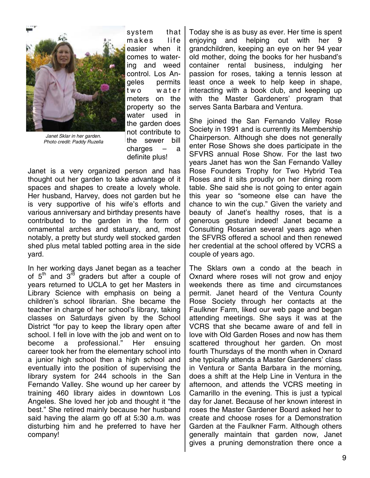

*Janet Sklar in her garden. Photo credit: Paddy Ruzella* 

system that makes life easier when it comes to watering and weed control. Los Angeles permits two water meters on the property so the water used in the garden does not contribute to the sewer bill charges – a definite plus!

Janet is a very organized person and has thought out her garden to take advantage of it spaces and shapes to create a lovely whole. Her husband, Harvey, does not garden but he is very supportive of his wife's efforts and various anniversary and birthday presents have contributed to the garden in the form of ornamental arches and statuary, and, most notably, a pretty but sturdy well stocked garden shed plus metal tabled potting area in the side yard.

In her working days Janet began as a teacher of  $5<sup>th</sup>$  and  $3<sup>rd</sup>$  graders but after a couple of years returned to UCLA to get her Masters in Library Science with emphasis on being a children's school librarian. She became the teacher in charge of her school's library, taking classes on Saturdays given by the School District "for pay to keep the library open after school. I fell in love with the job and went on to become a professional." Her ensuing career took her from the elementary school into a junior high school then a high school and eventually into the position of supervising the library system for 244 schools in the San Fernando Valley. She wound up her career by training 460 library aides in downtown Los Angeles. She loved her job and thought it "the best." She retired mainly because her husband said having the alarm go off at 5:30 a.m. was disturbing him and he preferred to have her company!

Today she is as busy as ever. Her time is spent enjoying and helping out with her 9 grandchildren, keeping an eye on her 94 year old mother, doing the books for her husband's container rental business, indulging her passion for roses, taking a tennis lesson at least once a week to help keep in shape, interacting with a book club, and keeping up with the Master Gardeners' program that serves Santa Barbara and Ventura.

She joined the San Fernando Valley Rose Society in 1991 and is currently its Membership Chairperson. Although she does not generally enter Rose Shows she does participate in the SFVRS annual Rose Show. For the last two years Janet has won the San Fernando Valley Rose Founders Trophy for Two Hybrid Tea Roses and it sits proudly on her dining room table. She said she is not going to enter again this year so "someone else can have the chance to win the cup." Given the variety and beauty of Janet's healthy roses, that is a generous gesture indeed! Janet became a Consulting Rosarian several years ago when the SFVRS offered a school and then renewed her credential at the school offered by VCRS a couple of years ago.

The Sklars own a condo at the beach in Oxnard where roses will not grow and enjoy weekends there as time and circumstances permit. Janet heard of the Ventura County Rose Society through her contacts at the Faulkner Farm, liked our web page and began attending meetings. She says it was at the VCRS that she became aware of and fell in love with Old Garden Roses and now has them scattered throughout her garden. On most fourth Thursdays of the month when in Oxnard she typically attends a Master Gardeners' class in Ventura or Santa Barbara in the morning, does a shift at the Help Line in Ventura in the afternoon, and attends the VCRS meeting in Camarillo in the evening. This is just a typical day for Janet. Because of her known interest in roses the Master Gardener Board asked her to create and choose roses for a Demonstration Garden at the Faulkner Farm. Although others generally maintain that garden now, Janet gives a pruning demonstration there once a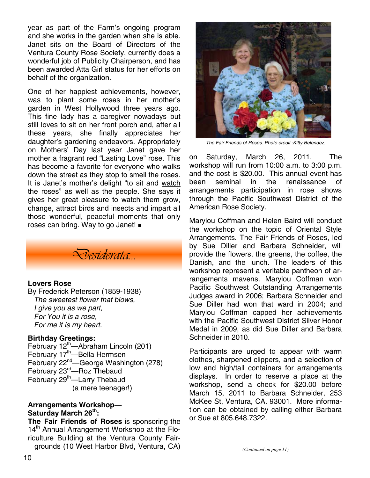year as part of the Farm's ongoing program and she works in the garden when she is able. Janet sits on the Board of Directors of the Ventura County Rose Society, currently does a wonderful job of Publicity Chairperson, and has been awarded Atta Girl status for her efforts on behalf of the organization.

One of her happiest achievements, however, was to plant some roses in her mother's garden in West Hollywood three years ago. This fine lady has a caregiver nowadays but still loves to sit on her front porch and, after all these years, she finally appreciates her daughter's gardening endeavors. Appropriately on Mothers' Day last year Janet gave her mother a fragrant red "Lasting Love" rose. This has become a favorite for everyone who walks down the street as they stop to smell the roses. It is Janet's mother's delight "to sit and watch the roses" as well as the people. She says it gives her great pleasure to watch them grow, change, attract birds and insects and impart all those wonderful, peaceful moments that only roses can bring. Way to go Janet!



#### **Lovers Rose**

By Frederick Peterson (1859-1938) *The sweetest flower that blows, I give you as we part, For You it is a rose, For me it is my heart.*

#### **Birthday Greetings:**

February  $12<sup>th</sup>$ —Abraham Lincoln (201) February 17<sup>th</sup>—Bella Hermsen February 22<sup>nd</sup>—George Washington (278) February 23rd—Roz Thebaud February 29<sup>th</sup>—Larry Thebaud (a mere teenager!)

#### **Arrangements Workshop— Saturday March 26th:**

**The Fair Friends of Roses** is sponsoring the 14<sup>th</sup> Annual Arrangement Workshop at the Floriculture Building at the Ventura County Fairgrounds (10 West Harbor Blvd, Ventura, CA)



*The Fair Friends of Roses. Photo credit :Kitty Belendez.* 

on Saturday, March 26, 2011. The workshop will run from 10:00 a.m. to 3:00 p.m. and the cost is \$20.00. This annual event has been seminal in the renaissance of arrangements participation in rose shows through the Pacific Southwest District of the American Rose Society.

Marylou Coffman and Helen Baird will conduct the workshop on the topic of Oriental Style Arrangements. The Fair Friends of Roses, led by Sue Diller and Barbara Schneider, will provide the flowers, the greens, the coffee, the Danish, and the lunch. The leaders of this workshop represent a veritable pantheon of arrangements mavens. Marylou Coffman won Pacific Southwest Outstanding Arrangements Judges award in 2006; Barbara Schneider and Sue Diller had won that ward in 2004; and Marylou Coffman capped her achievements with the Pacific Southwest District Silver Honor Medal in 2009, as did Sue Diller and Barbara Schneider in 2010.

Participants are urged to appear with warm clothes, sharpened clippers, and a selection of low and high/tall containers for arrangements displays. In order to reserve a place at the workshop, send a check for \$20.00 before March 15, 2011 to Barbara Schneider, 253 McKee St, Ventura, CA. 93001. More information can be obtained by calling either Barbara or Sue at 805.648.7322.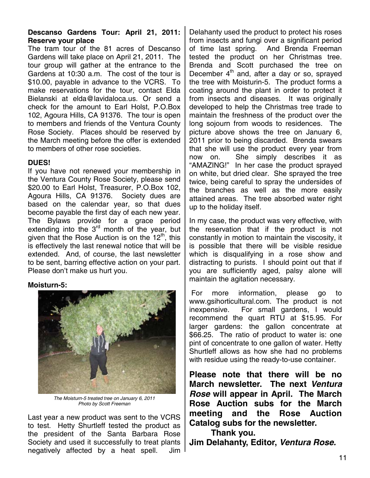### **Descanso Gardens Tour: April 21, 2011: Reserve your place**

The tram tour of the 81 acres of Descanso Gardens will take place on April 21, 2011. The tour group will gather at the entrance to the Gardens at 10:30 a.m. The cost of the tour is \$10.00, payable in advance to the VCRS. To make reservations for the tour, contact Elda Bielanski at elda@lavidaloca.us. Or send a check for the amount to Earl Holst, P.O.Box 102, Agoura Hills, CA 91376. The tour is open to members and friends of the Ventura County Rose Society. Places should be reserved by the March meeting before the offer is extended to members of other rose societies.

#### **DUES!**

If you have not renewed your membership in the Ventura County Rose Society, please send \$20.00 to Earl Holst, Treasurer, P.O.Box 102, Agoura Hills, CA 91376. Society dues are based on the calendar year, so that dues become payable the first day of each new year. The Bylaws provide for a grace period extending into the 3<sup>rd</sup> month of the year, but given that the Rose Auction is on the  $12<sup>th</sup>$ , this is effectively the last renewal notice that will be extended. And, of course, the last newsletter to be sent, barring effective action on your part. Please don't make us hurt you.

## **Moisturn-5:**



*The Moisturn-5 treated tree on January 6, 2011 Photo by Scott Freeman* 

Last year a new product was sent to the VCRS to test. Hetty Shurtleff tested the product as the president of the Santa Barbara Rose Society and used it successfully to treat plants negatively affected by a heat spell. Jim

Delahanty used the product to protect his roses from insects and fungi over a significant period of time last spring. And Brenda Freeman tested the product on her Christmas tree. Brenda and Scott purchased the tree on December  $4<sup>th</sup>$  and, after a day or so, sprayed the tree with Moisturin-5. The product forms a coating around the plant in order to protect it from insects and diseases. It was originally developed to help the Christmas tree trade to maintain the freshness of the product over the long sojourn from woods to residences. The picture above shows the tree on January 6, 2011 prior to being discarded. Brenda swears that she will use the product every year from now on. She simply describes it as "AMAZING!" In her case the product sprayed on white, but dried clear. She sprayed the tree twice, being careful to spray the undersides of the branches as well as the more easily attained areas. The tree absorbed water right up to the holiday itself.

In my case, the product was very effective, with the reservation that if the product is not constantly in motion to maintain the viscosity, it is possible that there will be visible residue which is disqualifying in a rose show and distracting to purists. I should point out that if you are sufficiently aged, palsy alone will maintain the agitation necessary.

 For more information, please go to www.gsihorticultural.com. The product is not inexpensive. For small gardens, I would recommend the quart RTU at \$15.95. For larger gardens: the gallon concentrate at \$66.25. The ratio of product to water is: one pint of concentrate to one gallon of water. Hetty Shurtleff allows as how she had no problems with residue using the ready-to-use container.

**Please note that there will be no March newsletter. The next** *Ventura Rose* **will appear in April. The March Rose Auction subs for the March meeting and the Rose Auction Catalog subs for the newsletter.** 

 **Thank you. Jim Delahanty, Editor,** *Ventura Rose.*